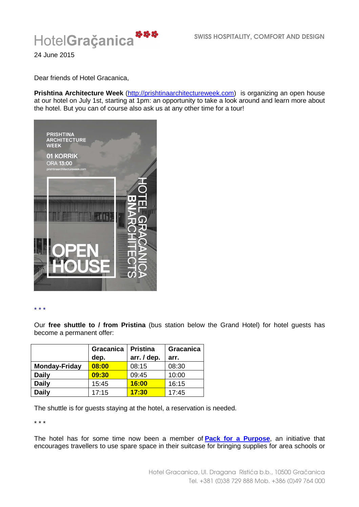

24 June 2015

Dear friends of Hotel Gracanica,

**Prishtina Architecture Week** (http://prishtinaarchitectureweek.com) is organizing an open house at our hotel on July 1st, starting at 1pm: an opportunity to take a look around and learn more about the hotel. But you can of course also ask us at any other time for a tour!



\* \* \*

Our **free shuttle to / from Pristina** (bus station below the Grand Hotel) for hotel guests has become a permanent offer:

|                      | Gracanica | <b>Pristina</b> | Gracanica |
|----------------------|-----------|-----------------|-----------|
|                      | dep.      | arr. / dep.     | arr.      |
| <b>Monday-Friday</b> | 08:00     | 08:15           | 08:30     |
| <b>Daily</b>         | 09:30     | 09:45           | 10:00     |
| <b>Daily</b>         | 15:45     | 16:00           | 16:15     |
| <b>Daily</b>         | 17:15     | 17:30           | 17:45     |

The shuttle is for guests staying at the hotel, a reservation is needed.

\* \* \*

The hotel has for some time now been a member of **Pack for a Purpose**, an initiative that encourages travellers to use spare space in their suitcase for bringing supplies for area schools or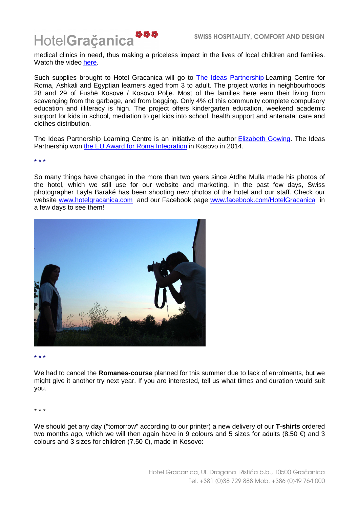

medical clinics in need, thus making a priceless impact in the lives of local children and families. Watch the video here.

Such supplies brought to Hotel Gracanica will go to The Ideas Partnership Learning Centre for Roma, Ashkali and Egyptian learners aged from 3 to adult. The project works in neighbourhoods 28 and 29 of Fushë Kosovë / Kosovo Polje. Most of the families here earn their living from scavenging from the garbage, and from begging. Only 4% of this community complete compulsory education and illiteracy is high. The project offers kindergarten education, weekend academic support for kids in school, mediation to get kids into school, health support and antenatal care and clothes distribution.

The Ideas Partnership Learning Centre is an initiative of the author Elizabeth Gowing. The Ideas Partnership won the EU Award for Roma Integration in Kosovo in 2014.

\* \* \*

So many things have changed in the more than two years since Atdhe Mulla made his photos of the hotel, which we still use for our website and marketing. In the past few days, Swiss photographer Layla Baraké has been shooting new photos of the hotel and our staff. Check our website www.hotelgracanica.com and our Facebook page www.facebook.com/HotelGracanica in a few days to see them!



\* \* \*

We had to cancel the **Romanes-course** planned for this summer due to lack of enrolments, but we might give it another try next year. If you are interested, tell us what times and duration would suit you.

\* \* \*

We should get any day ("tomorrow" according to our printer) a new delivery of our **T-shirts** ordered two months ago, which we will then again have in 9 colours and 5 sizes for adults (8.50  $\epsilon$ ) and 3 colours and 3 sizes for children (7.50 €), made in Kosovo: